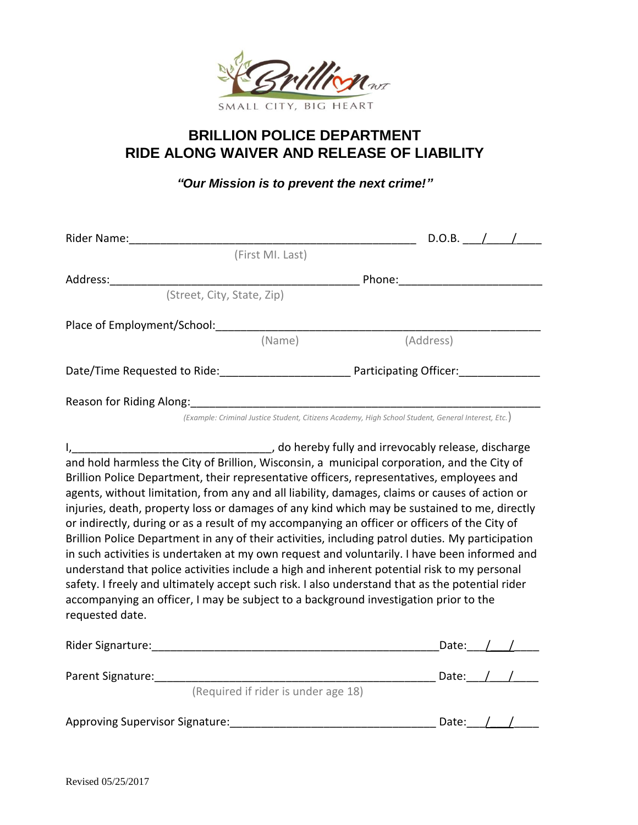

## **BRILLION POLICE DEPARTMENT RIDE ALONG WAIVER AND RELEASE OF LIABILITY**

*"Our Mission is to prevent the next crime!"*

| Rider Name:                                                                                                                                                                                                                                                                                                                                                                                                                                                                                                                                                                                                                                                                                                                                                                                                                                                                                                                                                                                                  | $D.O.B.$ /                                                                                         |
|--------------------------------------------------------------------------------------------------------------------------------------------------------------------------------------------------------------------------------------------------------------------------------------------------------------------------------------------------------------------------------------------------------------------------------------------------------------------------------------------------------------------------------------------------------------------------------------------------------------------------------------------------------------------------------------------------------------------------------------------------------------------------------------------------------------------------------------------------------------------------------------------------------------------------------------------------------------------------------------------------------------|----------------------------------------------------------------------------------------------------|
|                                                                                                                                                                                                                                                                                                                                                                                                                                                                                                                                                                                                                                                                                                                                                                                                                                                                                                                                                                                                              | (First MI. Last)                                                                                   |
| Address:                                                                                                                                                                                                                                                                                                                                                                                                                                                                                                                                                                                                                                                                                                                                                                                                                                                                                                                                                                                                     | Phone: ________________________                                                                    |
| (Street, City, State, Zip)                                                                                                                                                                                                                                                                                                                                                                                                                                                                                                                                                                                                                                                                                                                                                                                                                                                                                                                                                                                   |                                                                                                    |
| Place of Employment/School:                                                                                                                                                                                                                                                                                                                                                                                                                                                                                                                                                                                                                                                                                                                                                                                                                                                                                                                                                                                  |                                                                                                    |
|                                                                                                                                                                                                                                                                                                                                                                                                                                                                                                                                                                                                                                                                                                                                                                                                                                                                                                                                                                                                              | (Name)<br>(Address)                                                                                |
|                                                                                                                                                                                                                                                                                                                                                                                                                                                                                                                                                                                                                                                                                                                                                                                                                                                                                                                                                                                                              | Date/Time Requested to Ride: Participating Officer:                                                |
| Reason for Riding Along: 2008 2008 2010 2010 2010 2010 2011 2020 2021 2022 2023 2024 2025 2026 2027 2028 2020                                                                                                                                                                                                                                                                                                                                                                                                                                                                                                                                                                                                                                                                                                                                                                                                                                                                                                |                                                                                                    |
|                                                                                                                                                                                                                                                                                                                                                                                                                                                                                                                                                                                                                                                                                                                                                                                                                                                                                                                                                                                                              | (Example: Criminal Justice Student, Citizens Academy, High School Student, General Interest, Etc.) |
| and hold harmless the City of Brillion, Wisconsin, a municipal corporation, and the City of<br>Brillion Police Department, their representative officers, representatives, employees and<br>agents, without limitation, from any and all liability, damages, claims or causes of action or<br>injuries, death, property loss or damages of any kind which may be sustained to me, directly<br>or indirectly, during or as a result of my accompanying an officer or officers of the City of<br>Brillion Police Department in any of their activities, including patrol duties. My participation<br>in such activities is undertaken at my own request and voluntarily. I have been informed and<br>understand that police activities include a high and inherent potential risk to my personal<br>safety. I freely and ultimately accept such risk. I also understand that as the potential rider<br>accompanying an officer, I may be subject to a background investigation prior to the<br>requested date. |                                                                                                    |
| Rider Signarture: The Communication of the Communication of the Communication of the Communication of the Communication of the Communication of the Communication of the Communication of the Communication of the Communicati                                                                                                                                                                                                                                                                                                                                                                                                                                                                                                                                                                                                                                                                                                                                                                               | Date: $/$                                                                                          |
|                                                                                                                                                                                                                                                                                                                                                                                                                                                                                                                                                                                                                                                                                                                                                                                                                                                                                                                                                                                                              | Date: $/ /$                                                                                        |
| (Required if rider is under age 18)                                                                                                                                                                                                                                                                                                                                                                                                                                                                                                                                                                                                                                                                                                                                                                                                                                                                                                                                                                          |                                                                                                    |

Approving Supervisor Signature:\_\_\_\_\_\_\_\_\_\_\_\_\_\_\_\_\_\_\_\_\_\_\_\_\_\_\_\_\_\_\_\_\_ Date:\_\_\_/\_\_\_/\_\_\_\_